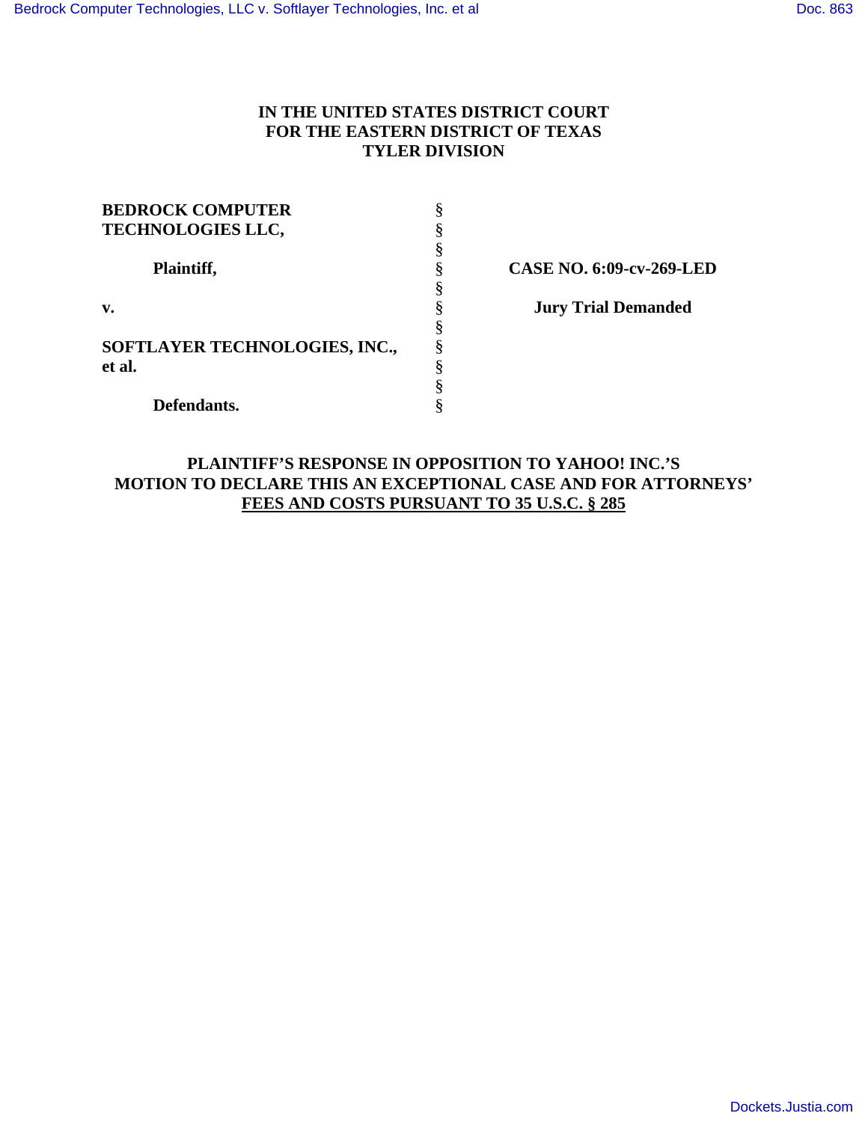# **IN THE UNITED STATES DISTRICT COURT FOR THE EASTERN DISTRICT OF TEXAS TYLER DIVISION**

| <b>BEDROCK COMPUTER</b>       |   |
|-------------------------------|---|
| <b>TECHNOLOGIES LLC,</b>      |   |
|                               |   |
| Plaintiff,                    |   |
|                               |   |
| v.                            |   |
|                               |   |
| SOFTLAYER TECHNOLOGIES, INC., |   |
| et al.                        | 8 |
|                               |   |
| Defendants.                   |   |

**CASE NO. 6:09-cv-269-LED** 

**Jury Trial Demanded** 

# **PLAINTIFF'S RESPONSE IN OPPOSITION TO YAHOO! INC.'S MOTION TO DECLARE THIS AN EXCEPTIONAL CASE AND FOR ATTORNEYS' FEES AND COSTS PURSUANT TO 35 U.S.C. § 285**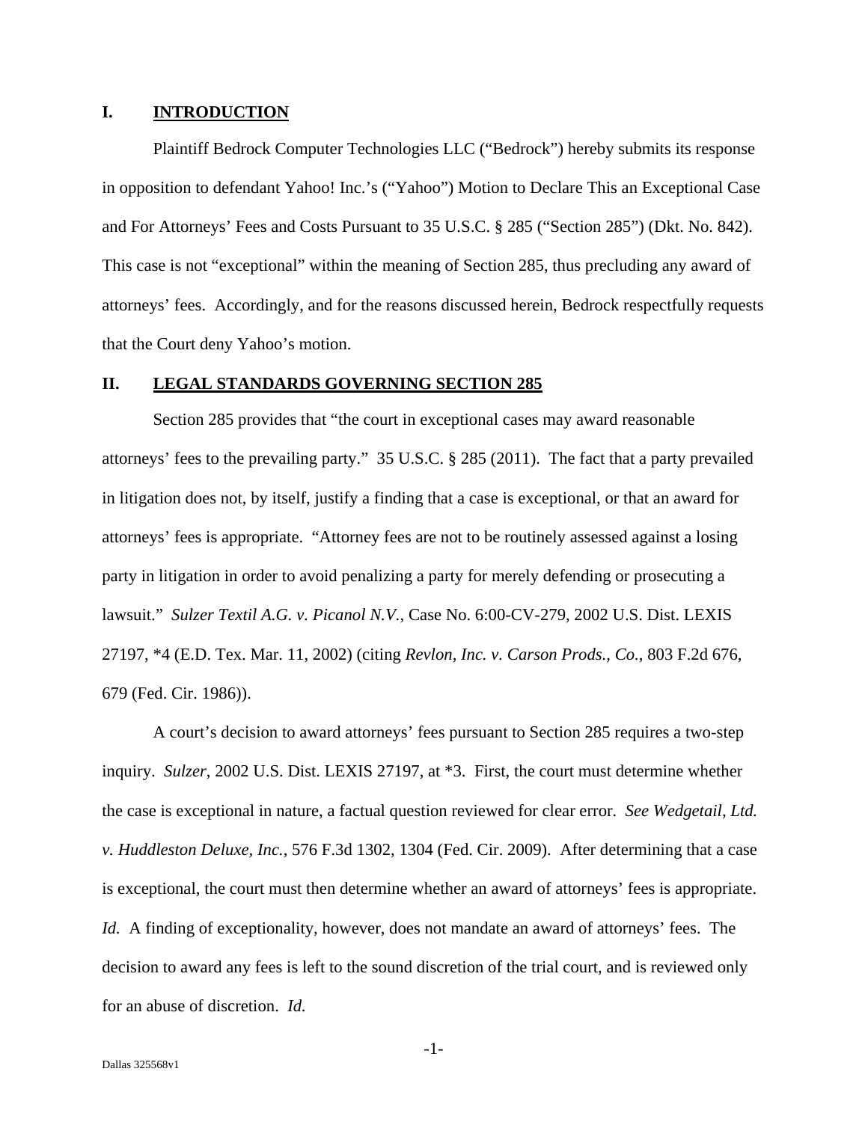#### **I. INTRODUCTION**

Plaintiff Bedrock Computer Technologies LLC ("Bedrock") hereby submits its response in opposition to defendant Yahoo! Inc.'s ("Yahoo") Motion to Declare This an Exceptional Case and For Attorneys' Fees and Costs Pursuant to 35 U.S.C. § 285 ("Section 285") (Dkt. No. 842). This case is not "exceptional" within the meaning of Section 285, thus precluding any award of attorneys' fees. Accordingly, and for the reasons discussed herein, Bedrock respectfully requests that the Court deny Yahoo's motion.

#### **II. LEGAL STANDARDS GOVERNING SECTION 285**

Section 285 provides that "the court in exceptional cases may award reasonable attorneys' fees to the prevailing party." 35 U.S.C. § 285 (2011). The fact that a party prevailed in litigation does not, by itself, justify a finding that a case is exceptional, or that an award for attorneys' fees is appropriate. "Attorney fees are not to be routinely assessed against a losing party in litigation in order to avoid penalizing a party for merely defending or prosecuting a lawsuit." *Sulzer Textil A.G. v. Picanol N.V.*, Case No. 6:00-CV-279, 2002 U.S. Dist. LEXIS 27197, \*4 (E.D. Tex. Mar. 11, 2002) (citing *Revlon, Inc. v. Carson Prods., Co.*, 803 F.2d 676, 679 (Fed. Cir. 1986)).

A court's decision to award attorneys' fees pursuant to Section 285 requires a two-step inquiry. *Sulzer*, 2002 U.S. Dist. LEXIS 27197, at \*3. First, the court must determine whether the case is exceptional in nature, a factual question reviewed for clear error. *See Wedgetail, Ltd. v. Huddleston Deluxe, Inc.*, 576 F.3d 1302, 1304 (Fed. Cir. 2009). After determining that a case is exceptional, the court must then determine whether an award of attorneys' fees is appropriate. *Id.* A finding of exceptionality, however, does not mandate an award of attorneys' fees. The decision to award any fees is left to the sound discretion of the trial court, and is reviewed only for an abuse of discretion. *Id.* 

-1-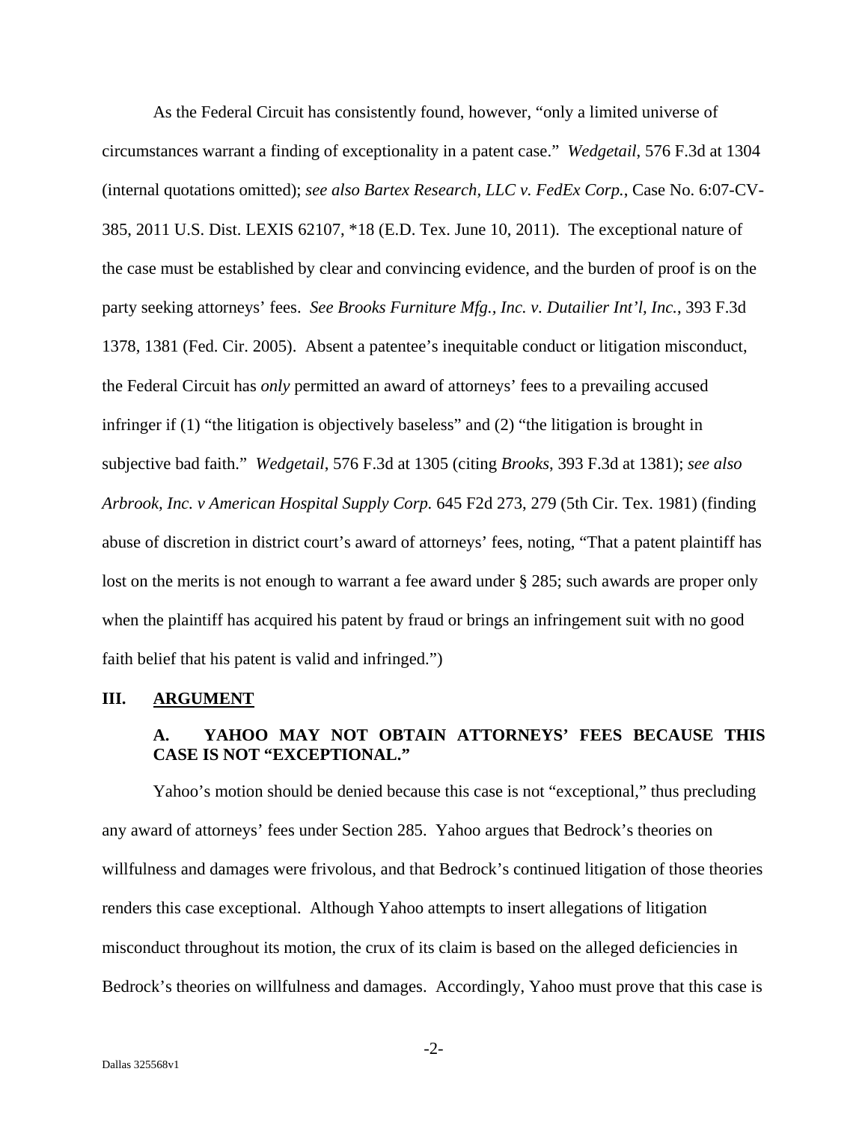As the Federal Circuit has consistently found, however, "only a limited universe of circumstances warrant a finding of exceptionality in a patent case." *Wedgetail*, 576 F.3d at 1304 (internal quotations omitted); *see also Bartex Research, LLC v. FedEx Corp.*, Case No. 6:07-CV-385, 2011 U.S. Dist. LEXIS 62107, \*18 (E.D. Tex. June 10, 2011). The exceptional nature of the case must be established by clear and convincing evidence, and the burden of proof is on the party seeking attorneys' fees. *See Brooks Furniture Mfg., Inc. v. Dutailier Int'l, Inc.*, 393 F.3d 1378, 1381 (Fed. Cir. 2005). Absent a patentee's inequitable conduct or litigation misconduct, the Federal Circuit has *only* permitted an award of attorneys' fees to a prevailing accused infringer if (1) "the litigation is objectively baseless" and (2) "the litigation is brought in subjective bad faith." *Wedgetail*, 576 F.3d at 1305 (citing *Brooks*, 393 F.3d at 1381); *see also Arbrook, Inc. v American Hospital Supply Corp.* 645 F2d 273, 279 (5th Cir. Tex. 1981) (finding abuse of discretion in district court's award of attorneys' fees, noting, "That a patent plaintiff has lost on the merits is not enough to warrant a fee award under § 285; such awards are proper only when the plaintiff has acquired his patent by fraud or brings an infringement suit with no good faith belief that his patent is valid and infringed.")

#### **III. ARGUMENT**

# **A. YAHOO MAY NOT OBTAIN ATTORNEYS' FEES BECAUSE THIS CASE IS NOT "EXCEPTIONAL."**

Yahoo's motion should be denied because this case is not "exceptional," thus precluding any award of attorneys' fees under Section 285. Yahoo argues that Bedrock's theories on willfulness and damages were frivolous, and that Bedrock's continued litigation of those theories renders this case exceptional. Although Yahoo attempts to insert allegations of litigation misconduct throughout its motion, the crux of its claim is based on the alleged deficiencies in Bedrock's theories on willfulness and damages. Accordingly, Yahoo must prove that this case is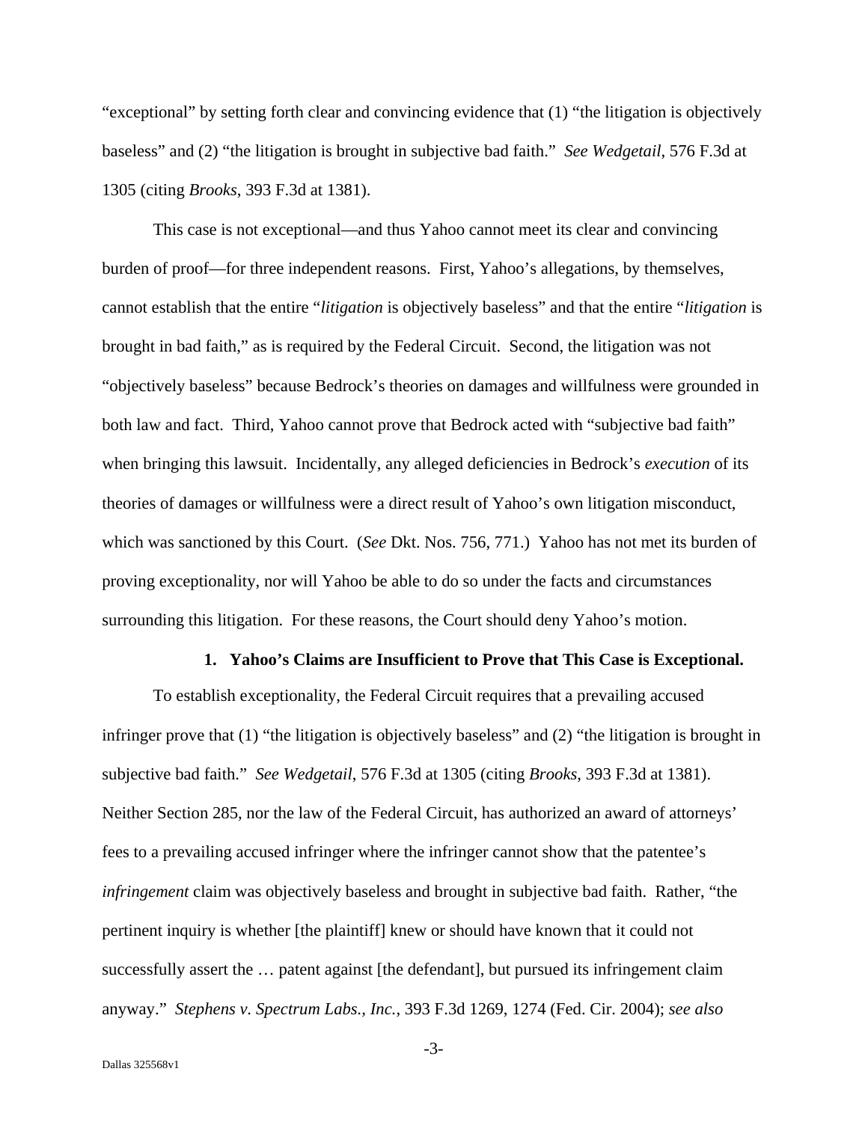"exceptional" by setting forth clear and convincing evidence that (1) "the litigation is objectively baseless" and (2) "the litigation is brought in subjective bad faith." *See Wedgetail*, 576 F.3d at 1305 (citing *Brooks*, 393 F.3d at 1381).

This case is not exceptional—and thus Yahoo cannot meet its clear and convincing burden of proof—for three independent reasons. First, Yahoo's allegations, by themselves, cannot establish that the entire "*litigation* is objectively baseless" and that the entire "*litigation* is brought in bad faith," as is required by the Federal Circuit. Second, the litigation was not "objectively baseless" because Bedrock's theories on damages and willfulness were grounded in both law and fact. Third, Yahoo cannot prove that Bedrock acted with "subjective bad faith" when bringing this lawsuit. Incidentally, any alleged deficiencies in Bedrock's *execution* of its theories of damages or willfulness were a direct result of Yahoo's own litigation misconduct, which was sanctioned by this Court. (*See* Dkt. Nos. 756, 771.) Yahoo has not met its burden of proving exceptionality, nor will Yahoo be able to do so under the facts and circumstances surrounding this litigation. For these reasons, the Court should deny Yahoo's motion.

#### **1. Yahoo's Claims are Insufficient to Prove that This Case is Exceptional.**

To establish exceptionality, the Federal Circuit requires that a prevailing accused infringer prove that (1) "the litigation is objectively baseless" and (2) "the litigation is brought in subjective bad faith." *See Wedgetail*, 576 F.3d at 1305 (citing *Brooks*, 393 F.3d at 1381). Neither Section 285, nor the law of the Federal Circuit, has authorized an award of attorneys' fees to a prevailing accused infringer where the infringer cannot show that the patentee's *infringement* claim was objectively baseless and brought in subjective bad faith. Rather, "the pertinent inquiry is whether [the plaintiff] knew or should have known that it could not successfully assert the … patent against [the defendant], but pursued its infringement claim anyway." *Stephens v. Spectrum Labs., Inc.*, 393 F.3d 1269, 1274 (Fed. Cir. 2004); *see also* 

-3-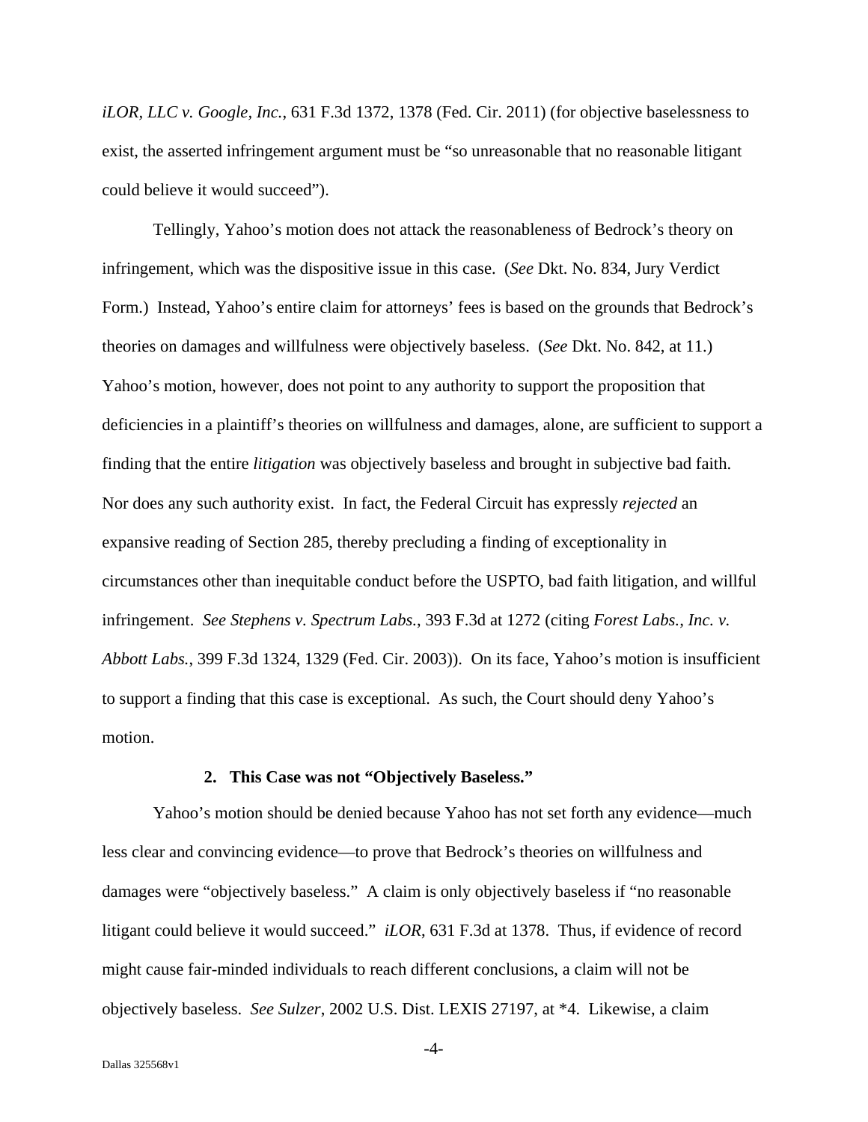*iLOR, LLC v. Google, Inc.*, 631 F.3d 1372, 1378 (Fed. Cir. 2011) (for objective baselessness to exist, the asserted infringement argument must be "so unreasonable that no reasonable litigant could believe it would succeed").

Tellingly, Yahoo's motion does not attack the reasonableness of Bedrock's theory on infringement, which was the dispositive issue in this case. (*See* Dkt. No. 834, Jury Verdict Form.) Instead, Yahoo's entire claim for attorneys' fees is based on the grounds that Bedrock's theories on damages and willfulness were objectively baseless. (*See* Dkt. No. 842, at 11.) Yahoo's motion, however, does not point to any authority to support the proposition that deficiencies in a plaintiff's theories on willfulness and damages, alone, are sufficient to support a finding that the entire *litigation* was objectively baseless and brought in subjective bad faith. Nor does any such authority exist. In fact, the Federal Circuit has expressly *rejected* an expansive reading of Section 285, thereby precluding a finding of exceptionality in circumstances other than inequitable conduct before the USPTO, bad faith litigation, and willful infringement. *See Stephens v. Spectrum Labs.*, 393 F.3d at 1272 (citing *Forest Labs., Inc. v. Abbott Labs.*, 399 F.3d 1324, 1329 (Fed. Cir. 2003)). On its face, Yahoo's motion is insufficient to support a finding that this case is exceptional. As such, the Court should deny Yahoo's motion.

#### **2. This Case was not "Objectively Baseless."**

Yahoo's motion should be denied because Yahoo has not set forth any evidence—much less clear and convincing evidence—to prove that Bedrock's theories on willfulness and damages were "objectively baseless." A claim is only objectively baseless if "no reasonable litigant could believe it would succeed." *iLOR*, 631 F.3d at 1378. Thus, if evidence of record might cause fair-minded individuals to reach different conclusions, a claim will not be objectively baseless. *See Sulzer*, 2002 U.S. Dist. LEXIS 27197, at \*4. Likewise, a claim

 $-4-$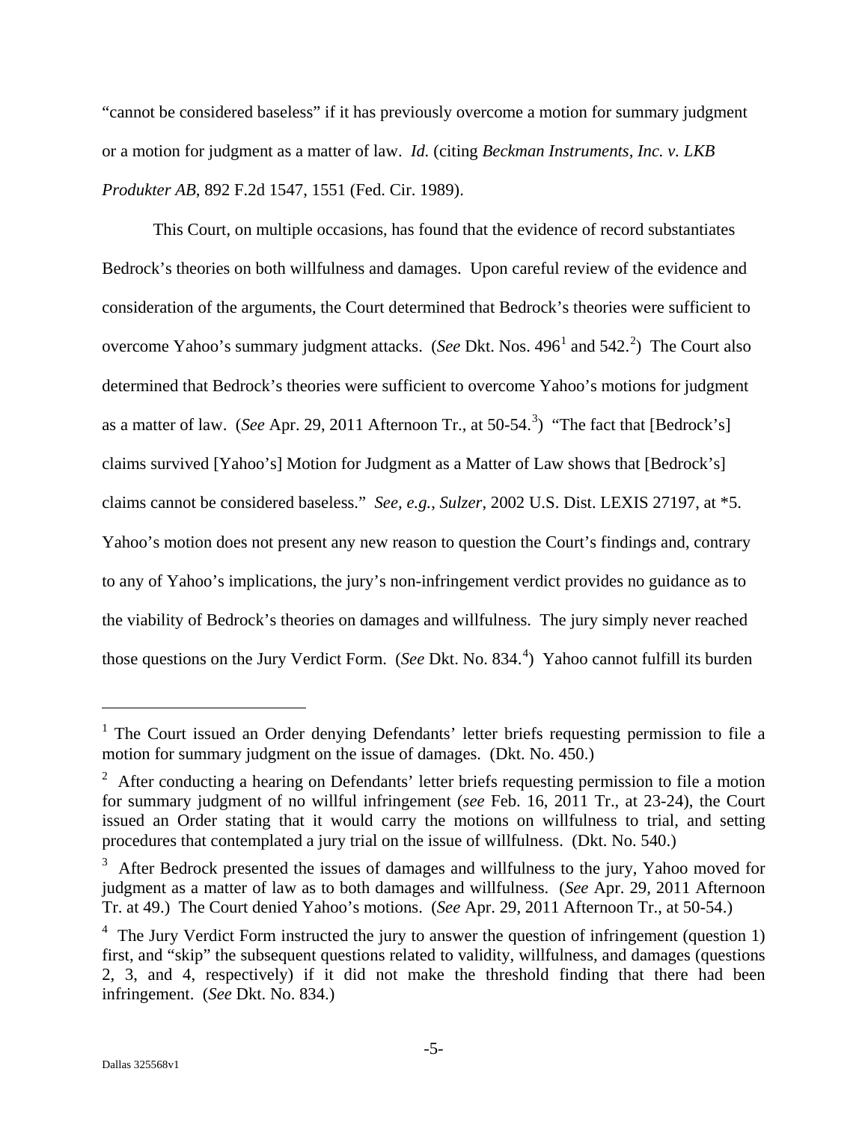"cannot be considered baseless" if it has previously overcome a motion for summary judgment or a motion for judgment as a matter of law. *Id.* (citing *Beckman Instruments, Inc. v. LKB Produkter AB*, 892 F.2d 1547, 1551 (Fed. Cir. 1989).

This Court, on multiple occasions, has found that the evidence of record substantiates Bedrock's theories on both willfulness and damages. Upon careful review of the evidence and consideration of the arguments, the Court determined that Bedrock's theories were sufficient to overcome Yahoo's summary judgment attacks. (*See Dkt. Nos.* 496<sup>[1](#page-5-0)</sup> and 54[2](#page-5-1).<sup>2</sup>) The Court also determined that Bedrock's theories were sufficient to overcome Yahoo's motions for judgment as a matter of law. (*See* Apr. 29, 2011 Afternoon Tr., at 50-54.<sup>[3](#page-5-2)</sup>) "The fact that [Bedrock's] claims survived [Yahoo's] Motion for Judgment as a Matter of Law shows that [Bedrock's] claims cannot be considered baseless." *See, e.g.*, *Sulzer*, 2002 U.S. Dist. LEXIS 27197, at \*5. Yahoo's motion does not present any new reason to question the Court's findings and, contrary to any of Yahoo's implications, the jury's non-infringement verdict provides no guidance as to the viability of Bedrock's theories on damages and willfulness. The jury simply never reached those questions on the Jury Verdict Form. (*See* Dkt. No. 83[4](#page-5-3).<sup>4</sup>) Yahoo cannot fulfill its burden

 $\overline{a}$ 

<span id="page-5-0"></span><sup>&</sup>lt;sup>1</sup> The Court issued an Order denying Defendants' letter briefs requesting permission to file a motion for summary judgment on the issue of damages. (Dkt. No. 450.)

<span id="page-5-1"></span> $2$  After conducting a hearing on Defendants' letter briefs requesting permission to file a motion for summary judgment of no willful infringement (*see* Feb. 16, 2011 Tr., at 23-24), the Court issued an Order stating that it would carry the motions on willfulness to trial, and setting procedures that contemplated a jury trial on the issue of willfulness. (Dkt. No. 540.)

<span id="page-5-2"></span> $3$  After Bedrock presented the issues of damages and willfulness to the jury, Yahoo moved for judgment as a matter of law as to both damages and willfulness. (*See* Apr. 29, 2011 Afternoon Tr. at 49.) The Court denied Yahoo's motions. (*See* Apr. 29, 2011 Afternoon Tr., at 50-54.)

<span id="page-5-3"></span> $4\,$  The Jury Verdict Form instructed the jury to answer the question of infringement (question 1) first, and "skip" the subsequent questions related to validity, willfulness, and damages (questions 2, 3, and 4, respectively) if it did not make the threshold finding that there had been infringement. (*See* Dkt. No. 834.)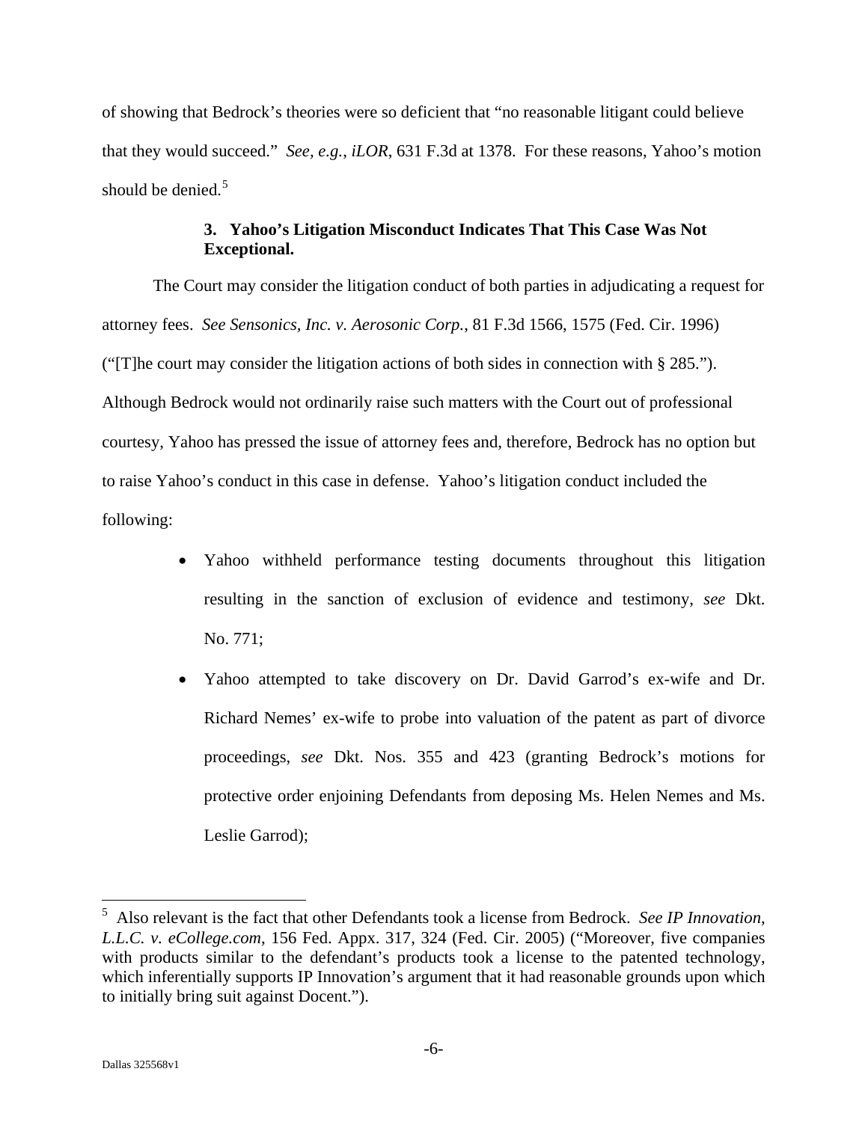of showing that Bedrock's theories were so deficient that "no reasonable litigant could believe that they would succeed." *See, e.g.*, *iLOR*, 631 F.3d at 1378. For these reasons, Yahoo's motion should be denied.<sup>[5](#page-6-0)</sup>

## **3. Yahoo's Litigation Misconduct Indicates That This Case Was Not Exceptional.**

The Court may consider the litigation conduct of both parties in adjudicating a request for attorney fees. *See Sensonics, Inc. v. Aerosonic Corp.*, 81 F.3d 1566, 1575 (Fed. Cir. 1996) ("[T]he court may consider the litigation actions of both sides in connection with § 285."). Although Bedrock would not ordinarily raise such matters with the Court out of professional courtesy, Yahoo has pressed the issue of attorney fees and, therefore, Bedrock has no option but to raise Yahoo's conduct in this case in defense. Yahoo's litigation conduct included the following:

- Yahoo withheld performance testing documents throughout this litigation resulting in the sanction of exclusion of evidence and testimony, *see* Dkt. No. 771;
- Yahoo attempted to take discovery on Dr. David Garrod's ex-wife and Dr. Richard Nemes' ex-wife to probe into valuation of the patent as part of divorce proceedings, *see* Dkt. Nos. 355 and 423 (granting Bedrock's motions for protective order enjoining Defendants from deposing Ms. Helen Nemes and Ms. Leslie Garrod);

<span id="page-6-0"></span> 5 Also relevant is the fact that other Defendants took a license from Bedrock. *See IP Innovation, L.L.C. v. eCollege.com*, 156 Fed. Appx. 317, 324 (Fed. Cir. 2005) ("Moreover, five companies with products similar to the defendant's products took a license to the patented technology, which inferentially supports IP Innovation's argument that it had reasonable grounds upon which to initially bring suit against Docent.").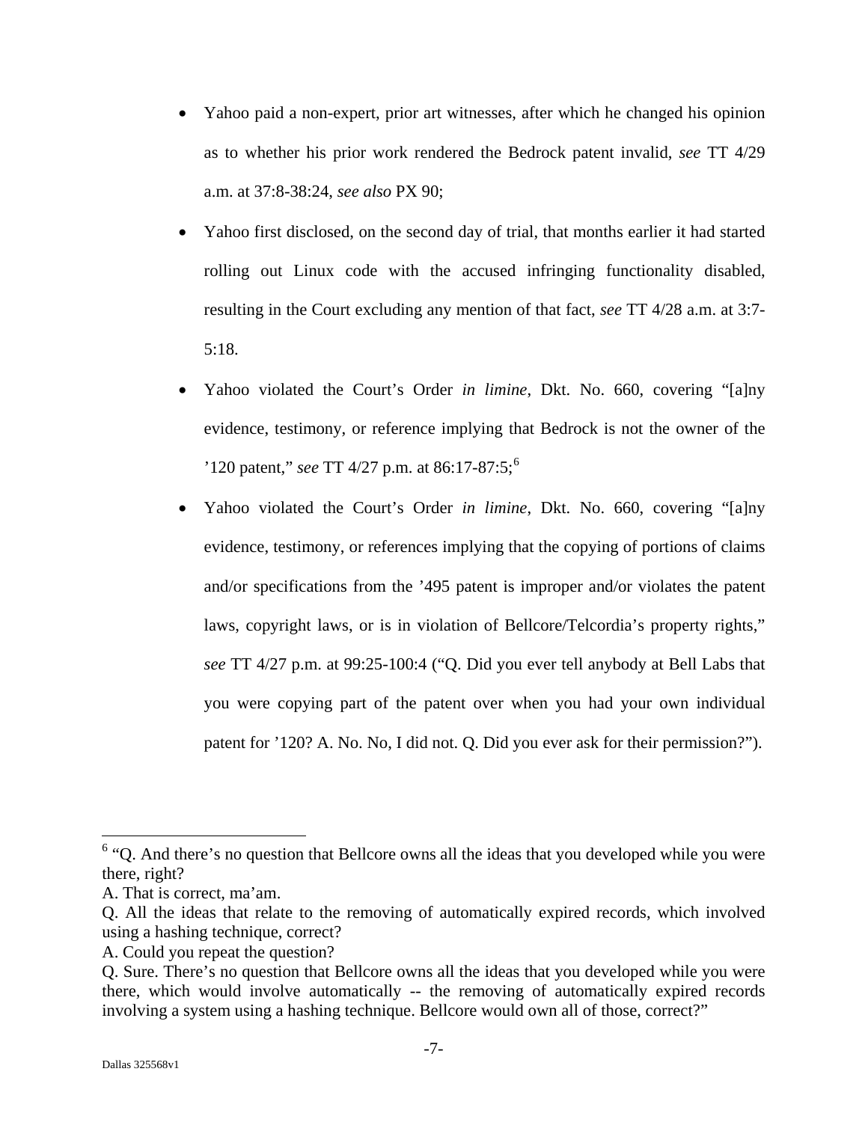- Yahoo paid a non-expert, prior art witnesses, after which he changed his opinion as to whether his prior work rendered the Bedrock patent invalid, *see* TT 4/29 a.m. at 37:8-38:24, *see also* PX 90;
- Yahoo first disclosed, on the second day of trial, that months earlier it had started rolling out Linux code with the accused infringing functionality disabled, resulting in the Court excluding any mention of that fact, *see* TT 4/28 a.m. at 3:7- 5:18.
- Yahoo violated the Court's Order *in limine*, Dkt. No. 660, covering "[a]ny evidence, testimony, or reference implying that Bedrock is not the owner of the '120 patent," *see* TT 4/27 p.m. at 86:17-87:5;[6](#page-7-0)
- Yahoo violated the Court's Order *in limine*, Dkt. No. 660, covering "[a]ny evidence, testimony, or references implying that the copying of portions of claims and/or specifications from the '495 patent is improper and/or violates the patent laws, copyright laws, or is in violation of Bellcore/Telcordia's property rights," *see* TT 4/27 p.m. at 99:25-100:4 ("Q. Did you ever tell anybody at Bell Labs that you were copying part of the patent over when you had your own individual patent for '120? A. No. No, I did not. Q. Did you ever ask for their permission?").

A. Could you repeat the question?

 $\overline{a}$ 

<span id="page-7-0"></span><sup>&</sup>lt;sup>6</sup> "Q. And there's no question that Bellcore owns all the ideas that you developed while you were there, right?

A. That is correct, ma'am.

Q. All the ideas that relate to the removing of automatically expired records, which involved using a hashing technique, correct?

Q. Sure. There's no question that Bellcore owns all the ideas that you developed while you were there, which would involve automatically -- the removing of automatically expired records involving a system using a hashing technique. Bellcore would own all of those, correct?"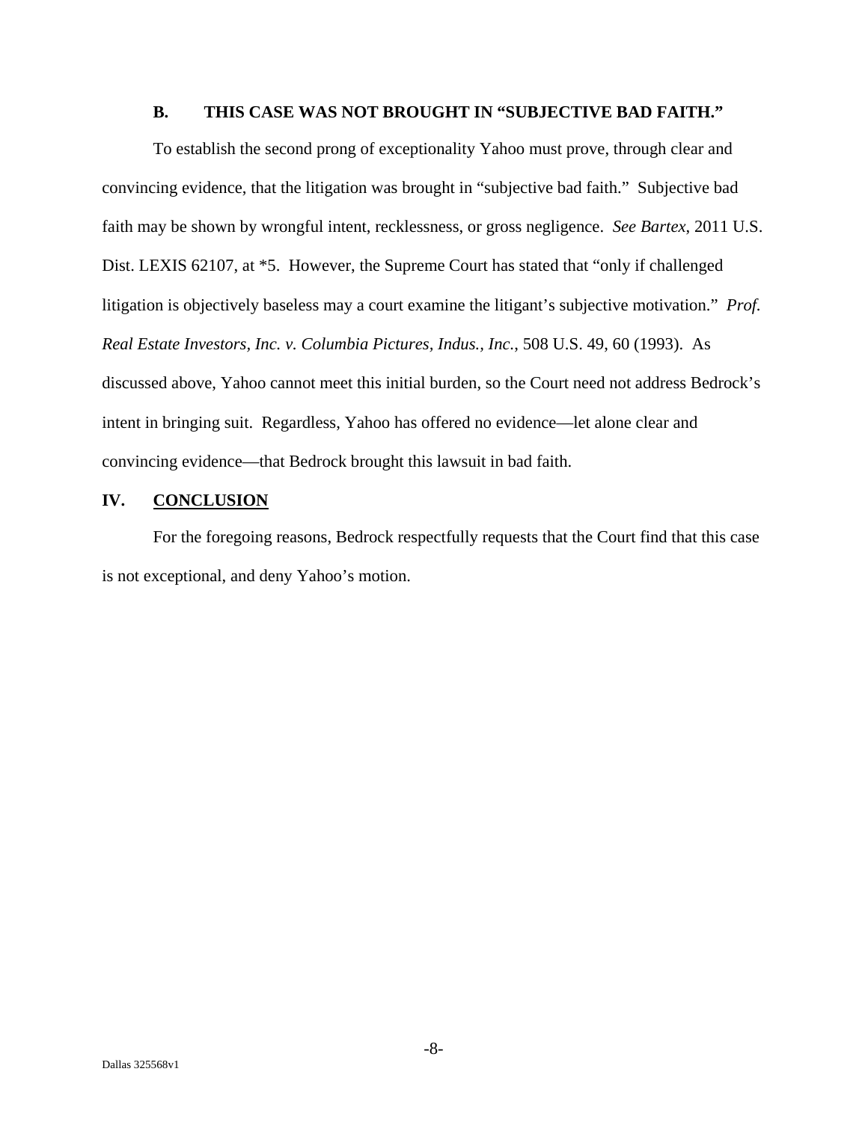## **B. THIS CASE WAS NOT BROUGHT IN "SUBJECTIVE BAD FAITH."**

To establish the second prong of exceptionality Yahoo must prove, through clear and convincing evidence, that the litigation was brought in "subjective bad faith." Subjective bad faith may be shown by wrongful intent, recklessness, or gross negligence. *See Bartex*, 2011 U.S. Dist. LEXIS 62107, at \*5. However, the Supreme Court has stated that "only if challenged litigation is objectively baseless may a court examine the litigant's subjective motivation." *Prof. Real Estate Investors, Inc. v. Columbia Pictures, Indus., Inc.*, 508 U.S. 49, 60 (1993). As discussed above, Yahoo cannot meet this initial burden, so the Court need not address Bedrock's intent in bringing suit. Regardless, Yahoo has offered no evidence—let alone clear and convincing evidence—that Bedrock brought this lawsuit in bad faith.

## **IV. CONCLUSION**

For the foregoing reasons, Bedrock respectfully requests that the Court find that this case is not exceptional, and deny Yahoo's motion.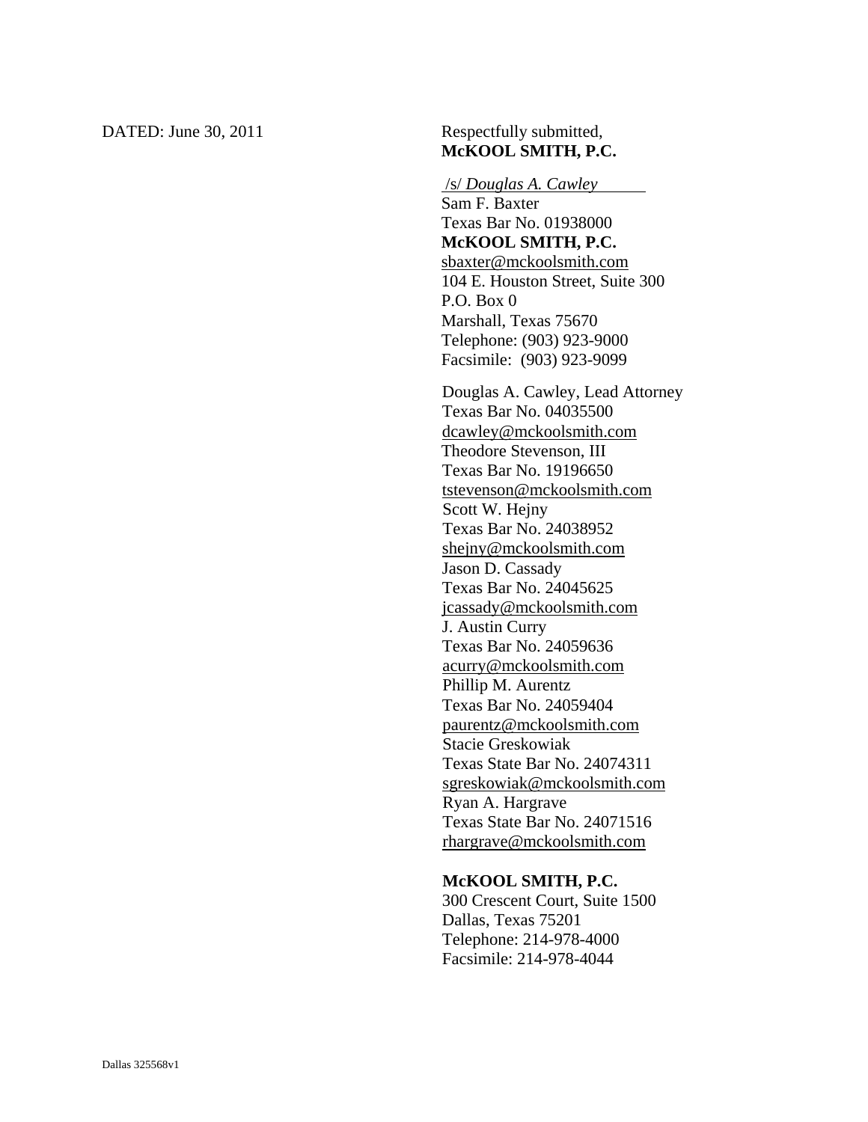## DATED: June 30, 2011 Respectfully submitted, **McKOOL SMITH, P.C.**

#### /s/ *Douglas A. Cawley*

Sam F. Baxter Texas Bar No. 01938000 **McKOOL SMITH, P.C.**  sbaxter@mckoolsmith.com 104 E. Houston Street, Suite 300 P.O. Box 0 Marshall, Texas 75670 Telephone: (903) 923-9000 Facsimile: (903) 923-9099

Douglas A. Cawley, Lead Attorney Texas Bar No. 04035500 dcawley@mckoolsmith.com Theodore Stevenson, III Texas Bar No. 19196650 tstevenson@mckoolsmith.com Scott W. Hejny Texas Bar No. 24038952 shejny@mckoolsmith.com Jason D. Cassady Texas Bar No. 24045625 jcassady@mckoolsmith.com J. Austin Curry Texas Bar No. 24059636 acurry@mckoolsmith.com Phillip M. Aurentz Texas Bar No. 24059404 paurentz@mckoolsmith.com Stacie Greskowiak Texas State Bar No. 24074311 sgreskowiak@mckoolsmith.com Ryan A. Hargrave Texas State Bar No. 24071516 rhargrave@mckoolsmith.com

#### **McKOOL SMITH, P.C.**

300 Crescent Court, Suite 1500 Dallas, Texas 75201 Telephone: 214-978-4000 Facsimile: 214-978-4044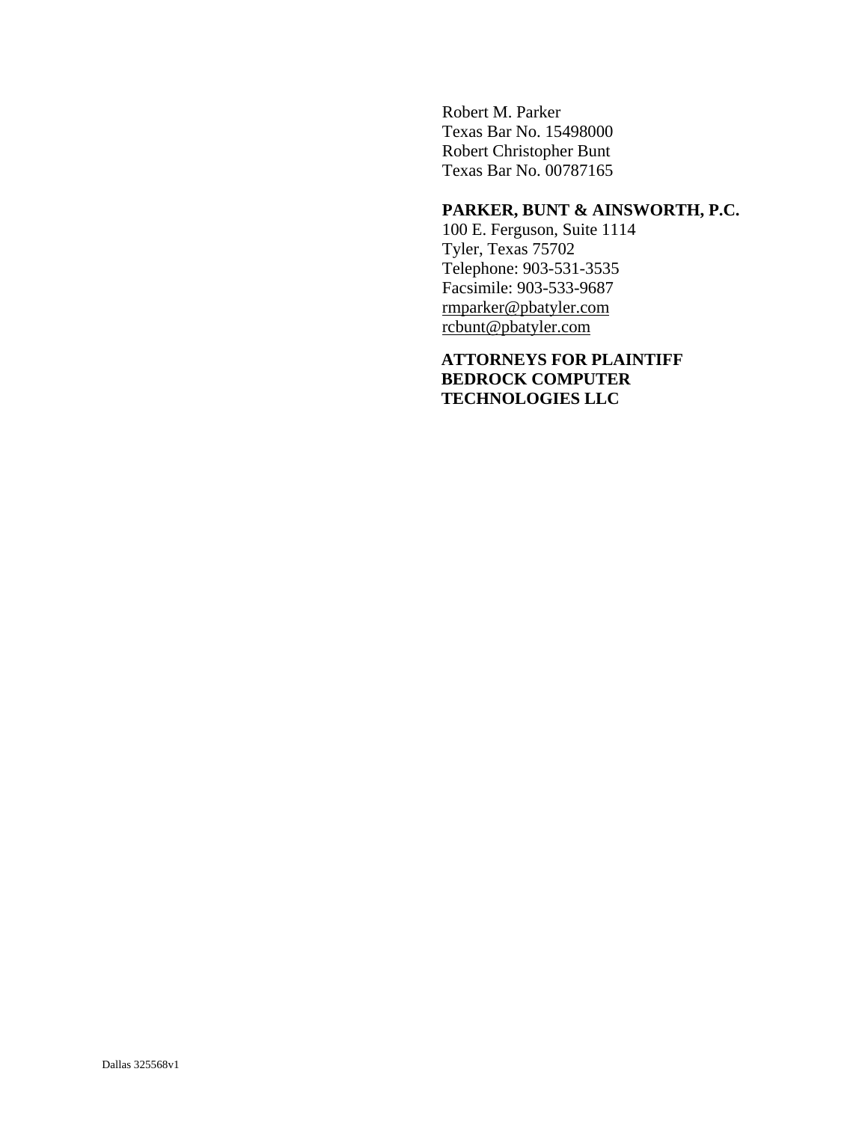Robert M. Parker Texas Bar No. 15498000 Robert Christopher Bunt Texas Bar No. 00787165

## **PARKER, BUNT & AINSWORTH, P.C.**

100 E. Ferguson, Suite 1114 Tyler, Texas 75702 Telephone: 903-531-3535 Facsimile: 903-533-9687 rmparker@pbatyler.com rcbunt@pbatyler.com

**ATTORNEYS FOR PLAINTIFF BEDROCK COMPUTER TECHNOLOGIES LLC**